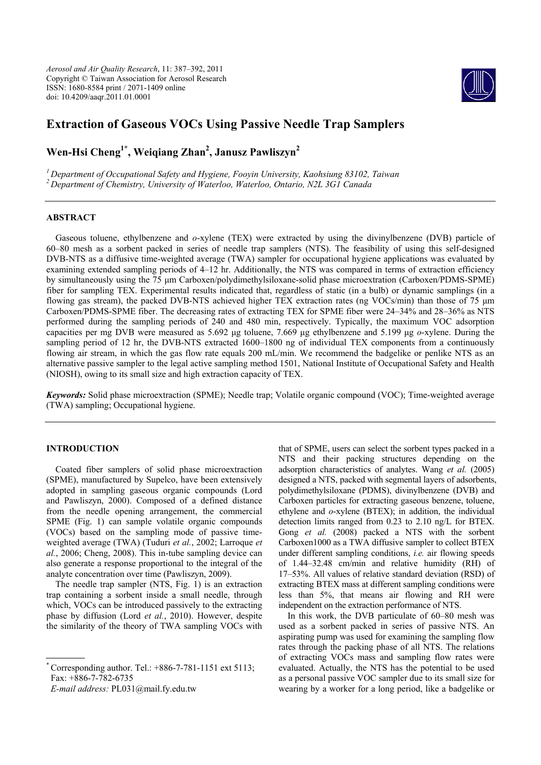*Aerosol and Air Quality Research*, 11: 387–392, 2011 Copyright © Taiwan Association for Aerosol Research ISSN: 1680-8584 print / 2071-1409 online doi: 10.4209/aaqr.2011.01.0001



# **Extraction of Gaseous VOCs Using Passive Needle Trap Samplers**

# **Wen-Hsi Cheng1\*, Weiqiang Zhan2 , Janusz Pawliszyn2**

*1 Department of Occupational Safety and Hygiene, Fooyin University, Kaohsiung 83102, Taiwan 2 Department of Chemistry, University of Waterloo, Waterloo, Ontario, N2L 3G1 Canada*

# **ABSTRACT**

Gaseous toluene, ethylbenzene and *o*-xylene (TEX) were extracted by using the divinylbenzene (DVB) particle of 60–80 mesh as a sorbent packed in series of needle trap samplers (NTS). The feasibility of using this self-designed DVB-NTS as a diffusive time-weighted average (TWA) sampler for occupational hygiene applications was evaluated by examining extended sampling periods of 4–12 hr. Additionally, the NTS was compared in terms of extraction efficiency by simultaneously using the 75 μm Carboxen/polydimethylsiloxane-solid phase microextration (Carboxen/PDMS-SPME) fiber for sampling TEX. Experimental results indicated that, regardless of static (in a bulb) or dynamic samplings (in a flowing gas stream), the packed DVB-NTS achieved higher TEX extraction rates (ng VOCs/min) than those of 75  $\mu$ m Carboxen/PDMS-SPME fiber. The decreasing rates of extracting TEX for SPME fiber were 24–34% and 28–36% as NTS performed during the sampling periods of 240 and 480 min, respectively. Typically, the maximum VOC adsorption capacities per mg DVB were measured as 5.692 μg toluene, 7.669 μg ethylbenzene and 5.199 μg *o*-xylene. During the sampling period of 12 hr, the DVB-NTS extracted 1600–1800 ng of individual TEX components from a continuously flowing air stream, in which the gas flow rate equals 200 mL/min. We recommend the badgelike or penlike NTS as an alternative passive sampler to the legal active sampling method 1501, National Institute of Occupational Safety and Health (NIOSH), owing to its small size and high extraction capacity of TEX.

*Keywords:* Solid phase microextraction (SPME); Needle trap; Volatile organic compound (VOC); Time-weighted average (TWA) sampling; Occupational hygiene.

### **INTRODUCTION**

Coated fiber samplers of solid phase microextraction (SPME), manufactured by Supelco, have been extensively adopted in sampling gaseous organic compounds (Lord and Pawliszyn, 2000). Composed of a defined distance from the needle opening arrangement, the commercial SPME (Fig. 1) can sample volatile organic compounds (VOCs) based on the sampling mode of passive timeweighted average (TWA) (Tuduri *et al.*, 2002; Larroque *et al.*, 2006; Cheng, 2008). This in-tube sampling device can also generate a response proportional to the integral of the analyte concentration over time (Pawliszyn, 2009).

The needle trap sampler (NTS, Fig. 1) is an extraction trap containing a sorbent inside a small needle, through which, VOCs can be introduced passively to the extracting phase by diffusion (Lord *et al.*, 2010). However, despite the similarity of the theory of TWA sampling VOCs with

Corresponding author. Tel.: +886-7-781-1151 ext 5113; Fax: +886-7-782-6735

*E-mail address:* PL031@mail.fy.edu.tw

that of SPME, users can select the sorbent types packed in a NTS and their packing structures depending on the adsorption characteristics of analytes. Wang *et al.* (2005) designed a NTS, packed with segmental layers of adsorbents, polydimethylsiloxane (PDMS), divinylbenzene (DVB) and Carboxen particles for extracting gaseous benzene, toluene, ethylene and *o*-xylene (BTEX); in addition, the individual detection limits ranged from 0.23 to 2.10 ng/L for BTEX. Gong *et al.* (2008) packed a NTS with the sorbent Carboxen1000 as a TWA diffusive sampler to collect BTEX under different sampling conditions, *i.e.* air flowing speeds of 1.44–32.48 cm/min and relative humidity (RH) of 17–53%. All values of relative standard deviation (RSD) of extracting BTEX mass at different sampling conditions were less than 5%, that means air flowing and RH were independent on the extraction performance of NTS.

In this work, the DVB particulate of 60–80 mesh was used as a sorbent packed in series of passive NTS. An aspirating pump was used for examining the sampling flow rates through the packing phase of all NTS. The relations of extracting VOCs mass and sampling flow rates were evaluated. Actually, the NTS has the potential to be used as a personal passive VOC sampler due to its small size for wearing by a worker for a long period, like a badgelike or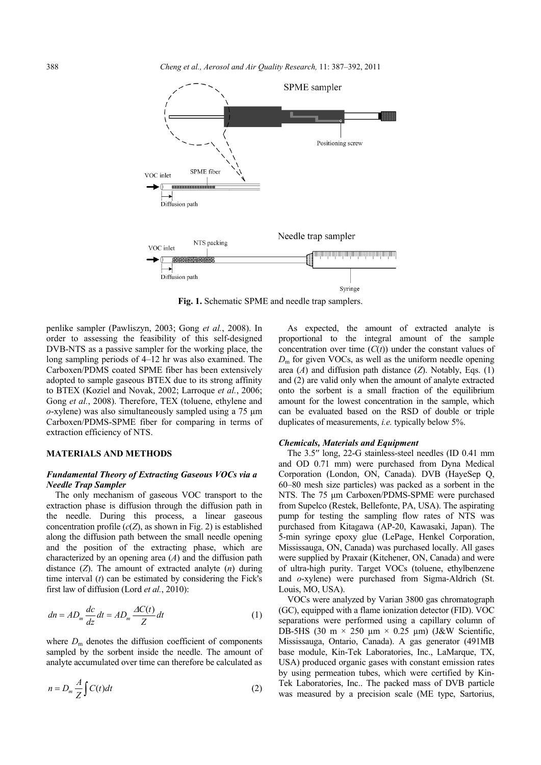

**Fig. 1.** Schematic SPME and needle trap samplers.

penlike sampler (Pawliszyn, 2003; Gong *et al.*, 2008). In order to assessing the feasibility of this self-designed DVB-NTS as a passive sampler for the working place, the long sampling periods of 4–12 hr was also examined. The Carboxen/PDMS coated SPME fiber has been extensively adopted to sample gaseous BTEX due to its strong affinity to BTEX (Koziel and Novak, 2002; Larroque *et al.*, 2006; Gong *et al.*, 2008). Therefore, TEX (toluene, ethylene and *o*-xylene) was also simultaneously sampled using a 75 μm Carboxen/PDMS-SPME fiber for comparing in terms of extraction efficiency of NTS.

#### **MATERIALS AND METHODS**

# *Fundamental Theory of Extracting Gaseous VOCs via a Needle Trap Sampler*

The only mechanism of gaseous VOC transport to the extraction phase is diffusion through the diffusion path in the needle. During this process, a linear gaseous concentration profile  $(c(Z)$ , as shown in Fig. 2) is established along the diffusion path between the small needle opening and the position of the extracting phase, which are characterized by an opening area (*A*) and the diffusion path distance (*Z*). The amount of extracted analyte (*n*) during time interval (*t*) can be estimated by considering the Fick's first law of diffusion (Lord *et al.*, 2010):

$$
dn = AD_m \frac{dc}{dz} dt = AD_m \frac{\Delta C(t)}{Z} dt
$$
 (1)

where  $D_m$  denotes the diffusion coefficient of components sampled by the sorbent inside the needle. The amount of analyte accumulated over time can therefore be calculated as

$$
n = D_m \frac{A}{Z} \int C(t)dt
$$
 (2)

As expected, the amount of extracted analyte is proportional to the integral amount of the sample concentration over time  $(C(t))$  under the constant values of  $D<sub>m</sub>$  for given VOCs, as well as the uniform needle opening area (*A*) and diffusion path distance (*Z*). Notably, Eqs. (1) and (2) are valid only when the amount of analyte extracted onto the sorbent is a small fraction of the equilibrium amount for the lowest concentration in the sample, which can be evaluated based on the RSD of double or triple duplicates of measurements, *i.e.* typically below 5%.

### *Chemicals, Materials and Equipment*

The 3.5′′ long, 22-G stainless-steel needles (ID 0.41 mm and OD 0.71 mm) were purchased from Dyna Medical Corporation (London, ON, Canada). DVB (HayeSep Q, 60–80 mesh size particles) was packed as a sorbent in the NTS. The 75 μm Carboxen/PDMS-SPME were purchased from Supelco (Restek, Bellefonte, PA, USA). The aspirating pump for testing the sampling flow rates of NTS was purchased from Kitagawa (AP-20, Kawasaki, Japan). The 5-min syringe epoxy glue (LePage, Henkel Corporation, Mississauga, ON, Canada) was purchased locally. All gases were supplied by Praxair (Kitchener, ON, Canada) and were of ultra-high purity. Target VOCs (toluene, ethylbenzene and *o*-xylene) were purchased from Sigma-Aldrich (St. Louis, MO, USA).

VOCs were analyzed by Varian 3800 gas chromatograph (GC), equipped with a flame ionization detector (FID). VOC separations were performed using a capillary column of DB-5HS (30 m  $\times$  250 µm  $\times$  0.25 µm) (J&W Scientific, Mississauga, Ontario, Canada). A gas generator (491MB base module, Kin-Tek Laboratories, Inc., LaMarque, TX, USA) produced organic gases with constant emission rates by using permeation tubes, which were certified by Kin-Tek Laboratories, Inc.. The packed mass of DVB particle was measured by a precision scale (ME type, Sartorius,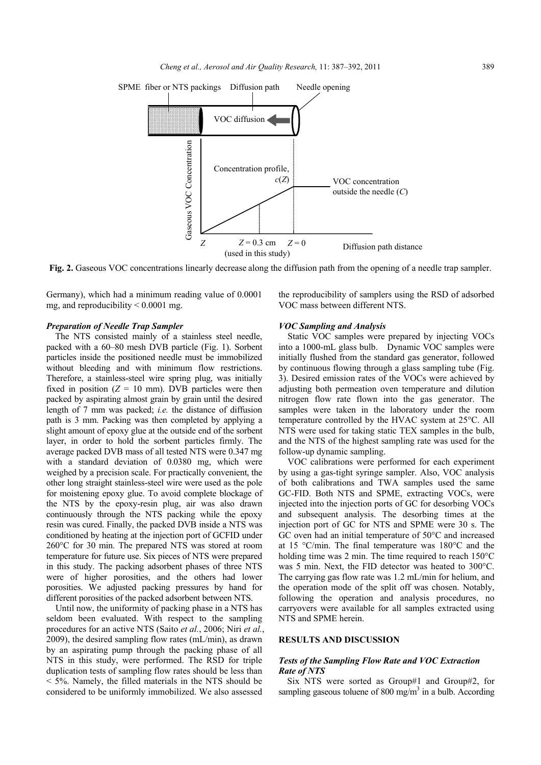

**Fig. 2.** Gaseous VOC concentrations linearly decrease along the diffusion path from the opening of a needle trap sampler.

Germany), which had a minimum reading value of 0.0001 mg, and reproducibility  $\leq 0.0001$  mg.

### *Preparation of Needle Trap Sampler*

The NTS consisted mainly of a stainless steel needle, packed with a 60–80 mesh DVB particle (Fig. 1). Sorbent particles inside the positioned needle must be immobilized without bleeding and with minimum flow restrictions. Therefore, a stainless-steel wire spring plug, was initially fixed in position  $(Z = 10 \text{ mm})$ . DVB particles were then packed by aspirating almost grain by grain until the desired length of 7 mm was packed; *i.e.* the distance of diffusion path is 3 mm. Packing was then completed by applying a slight amount of epoxy glue at the outside end of the sorbent layer, in order to hold the sorbent particles firmly. The average packed DVB mass of all tested NTS were 0.347 mg with a standard deviation of 0.0380 mg, which were weighed by a precision scale. For practically convenient, the other long straight stainless-steel wire were used as the pole for moistening epoxy glue. To avoid complete blockage of the NTS by the epoxy-resin plug, air was also drawn continuously through the NTS packing while the epoxy resin was cured. Finally, the packed DVB inside a NTS was conditioned by heating at the injection port of GCFID under 260°C for 30 min. The prepared NTS was stored at room temperature for future use. Six pieces of NTS were prepared in this study. The packing adsorbent phases of three NTS were of higher porosities, and the others had lower porosities. We adjusted packing pressures by hand for different porosities of the packed adsorbent between NTS.

Until now, the uniformity of packing phase in a NTS has seldom been evaluated. With respect to the sampling procedures for an active NTS (Saito *et al.*, 2006; Niri *et al.*, 2009), the desired sampling flow rates (mL/min), as drawn by an aspirating pump through the packing phase of all NTS in this study, were performed. The RSD for triple duplication tests of sampling flow rates should be less than < 5%. Namely, the filled materials in the NTS should be considered to be uniformly immobilized. We also assessed

the reproducibility of samplers using the RSD of adsorbed VOC mass between different NTS.

## *VOC Sampling and Analysis*

Static VOC samples were prepared by injecting VOCs into a 1000-mL glass bulb. Dynamic VOC samples were initially flushed from the standard gas generator, followed by continuous flowing through a glass sampling tube (Fig. 3). Desired emission rates of the VOCs were achieved by adjusting both permeation oven temperature and dilution nitrogen flow rate flown into the gas generator. The samples were taken in the laboratory under the room temperature controlled by the HVAC system at 25°C. All NTS were used for taking static TEX samples in the bulb, and the NTS of the highest sampling rate was used for the follow-up dynamic sampling.

VOC calibrations were performed for each experiment by using a gas-tight syringe sampler. Also, VOC analysis of both calibrations and TWA samples used the same GC-FID. Both NTS and SPME, extracting VOCs, were injected into the injection ports of GC for desorbing VOCs and subsequent analysis. The desorbing times at the injection port of GC for NTS and SPME were 30 s. The GC oven had an initial temperature of 50°C and increased at 15 °C/min. The final temperature was 180°C and the holding time was 2 min. The time required to reach 150°C was 5 min. Next, the FID detector was heated to 300°C. The carrying gas flow rate was 1.2 mL/min for helium, and the operation mode of the split off was chosen. Notably, following the operation and analysis procedures, no carryovers were available for all samples extracted using NTS and SPME herein.

#### **RESULTS AND DISCUSSION**

# *Tests of the Sampling Flow Rate and VOC Extraction Rate of NTS*

Six NTS were sorted as Group#1 and Group#2, for sampling gaseous toluene of 800 mg/m<sup>3</sup> in a bulb. According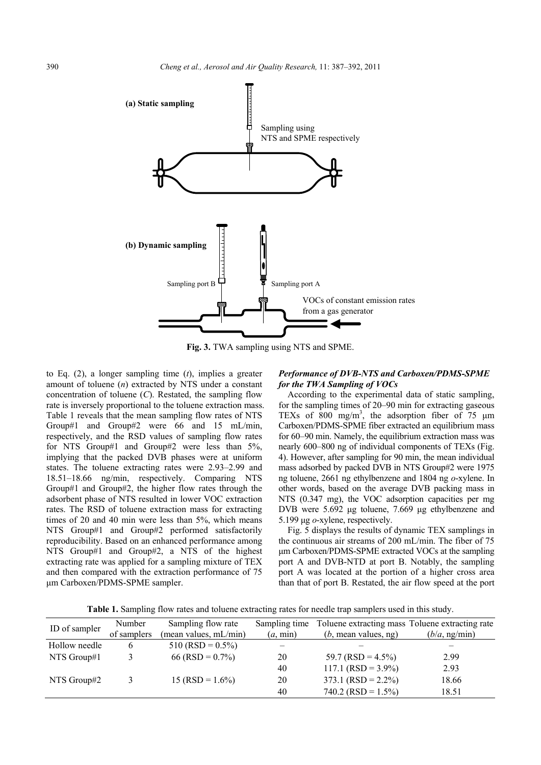

**Fig. 3.** TWA sampling using NTS and SPME.

to Eq. (2), a longer sampling time (*t*), implies a greater amount of toluene (*n*) extracted by NTS under a constant concentration of toluene (*C*). Restated, the sampling flow rate is inversely proportional to the toluene extraction mass. Table 1 reveals that the mean sampling flow rates of NTS Group#1 and Group#2 were 66 and 15 mL/min, respectively, and the RSD values of sampling flow rates for NTS Group#1 and Group#2 were less than 5%, implying that the packed DVB phases were at uniform states. The toluene extracting rates were 2.93–2.99 and 18.51–18.66 ng/min, respectively. Comparing NTS Group#1 and Group#2, the higher flow rates through the adsorbent phase of NTS resulted in lower VOC extraction rates. The RSD of toluene extraction mass for extracting times of 20 and 40 min were less than 5%, which means NTS Group#1 and Group#2 performed satisfactorily reproducibility. Based on an enhanced performance among NTS Group#1 and Group#2, a NTS of the highest extracting rate was applied for a sampling mixture of TEX and then compared with the extraction performance of 75 μm Carboxen/PDMS-SPME sampler.

# *Performance of DVB-NTS and Carboxen/PDMS-SPME for the TWA Sampling of VOCs*

According to the experimental data of static sampling, for the sampling times of 20–90 min for extracting gaseous TEXs of  $800 \text{ mg/m}^3$ , the adsorption fiber of 75  $\mu$ m Carboxen/PDMS-SPME fiber extracted an equilibrium mass for 60–90 min. Namely, the equilibrium extraction mass was nearly 600–800 ng of individual components of TEXs (Fig. 4). However, after sampling for 90 min, the mean individual mass adsorbed by packed DVB in NTS Group#2 were 1975 ng toluene, 2661 ng ethylbenzene and 1804 ng *o*-xylene. In other words, based on the average DVB packing mass in NTS (0.347 mg), the VOC adsorption capacities per mg DVB were 5.692 μg toluene, 7.669 μg ethylbenzene and 5.199 μg *o*-xylene, respectively.

Fig. 5 displays the results of dynamic TEX samplings in the continuous air streams of 200 mL/min. The fiber of 75 μm Carboxen/PDMS-SPME extracted VOCs at the sampling port A and DVB-NTD at port B. Notably, the sampling port A was located at the portion of a higher cross area than that of port B. Restated, the air flow speed at the port

**Table 1.** Sampling flow rates and toluene extracting rates for needle trap samplers used in this study.

| ID of sampler | Number      | Sampling flow rate    | Sampling time     | Toluene extracting mass Toluene extracting rate |               |
|---------------|-------------|-----------------------|-------------------|-------------------------------------------------|---------------|
|               | of samplers | (mean values, mL/min) | $(a, \text{min})$ | $(b, \text{mean values}, \text{ng})$            | (b/a, ng/min) |
| Hollow needle | 6           | $510$ (RSD = 0.5%)    |                   |                                                 |               |
| NTS Group#1   |             | 66 (RSD = $0.7\%$ )   | 20                | 59.7 (RSD = $4.5\%$ )                           | 2.99          |
|               |             |                       | 40                | $117.1$ (RSD = 3.9%)                            | 2.93          |
| NTS Group#2   |             | $15 (RSD = 1.6\%)$    | 20                | $373.1$ (RSD = 2.2%)                            | 18.66         |
|               |             |                       | 40                | 740.2 (RSD = $1.5\%$ )                          | 18.51         |
|               |             |                       |                   |                                                 |               |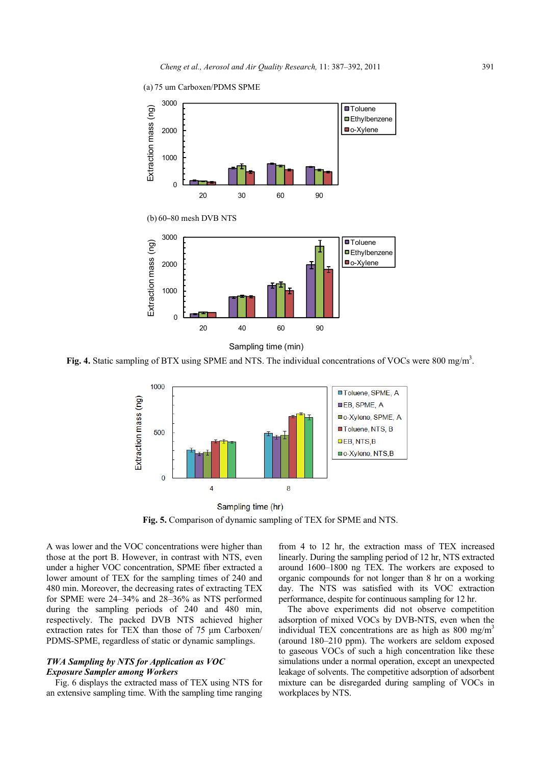

Fig. 4. Static sampling of BTX using SPME and NTS. The individual concentrations of VOCs were 800 mg/m<sup>3</sup>.



Sampling time (hr) **Fig. 5.** Comparison of dynamic sampling of TEX for SPME and NTS.

A was lower and the VOC concentrations were higher than those at the port B. However, in contrast with NTS, even under a higher VOC concentration, SPME fiber extracted a lower amount of TEX for the sampling times of 240 and 480 min. Moreover, the decreasing rates of extracting TEX for SPME were 24–34% and 28–36% as NTS performed during the sampling periods of 240 and 480 min, respectively. The packed DVB NTS achieved higher extraction rates for TEX than those of 75 μm Carboxen/ PDMS-SPME, regardless of static or dynamic samplings.

# *TWA Sampling by NTS for Application as VOC Exposure Sampler among Workers*

Fig. 6 displays the extracted mass of TEX using NTS for an extensive sampling time. With the sampling time ranging

from 4 to 12 hr, the extraction mass of TEX increased linearly. During the sampling period of 12 hr, NTS extracted around 1600–1800 ng TEX. The workers are exposed to organic compounds for not longer than 8 hr on a working day. The NTS was satisfied with its VOC extraction performance, despite for continuous sampling for 12 hr.

The above experiments did not observe competition adsorption of mixed VOCs by DVB-NTS, even when the individual TEX concentrations are as high as  $800 \text{ mg/m}^3$ (around 180–210 ppm). The workers are seldom exposed to gaseous VOCs of such a high concentration like these simulations under a normal operation, except an unexpected leakage of solvents. The competitive adsorption of adsorbent mixture can be disregarded during sampling of VOCs in workplaces by NTS.